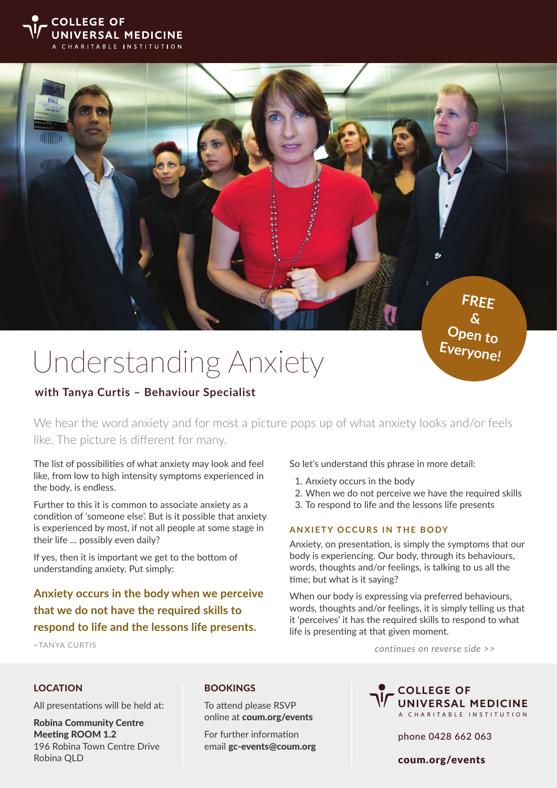



**Open to Everyone!**

# Understanding Anxiety

# **with Tanya Curtis – Behaviour Specialist**

We hear the word anxiety and for most a picture pops up of what anxiety looks and/or feels like. The picture is different for many.

The list of possibilities of what anxiety may look and feel like, from low to high intensity symptoms experienced in the body, is endless.

Further to this it is common to associate anxiety as a condition of 'someone else'. But is it possible that anxiety is experienced by most, if not all people at some stage in their life … possibly even daily?

If yes, then it is important we get to the bottom of understanding anxiety. Put simply:

**Anxiety occurs in the body when we perceive that we do not have the required skills to respond to life and the lessons life presents.**

~TANYA CURTIS

So let's understand this phrase in more detail:

- 1. Anxiety occurs in the body
- 2. When we do not perceive we have the required skills
- 3. To respond to life and the lessons life presents

#### **ANXIETY OCCURS IN THE BODY**

Anxiety, on presentation, is simply the symptoms that our body is experiencing. Our body, through its behaviours, words, thoughts and/or feelings, is talking to us all the time; but what is it saying?

When our body is expressing via preferred behaviours, words, thoughts and/or feelings, it is simply telling us that it 'perceives' it has the required skills to respond to what life is presenting at that given moment.

*continues on reverse side >>*

#### LOCATION

All presentations will be held at:

Robina Community Centre Meeting ROOM 1.2 196 Robina Town Centre Drive Robina QLD

#### BOOKINGS

To attend please RSVP online at coum.org/events

For further information email gc-events@coum.org



phone 0428 662 063

COLLEGE OF coum.org/events